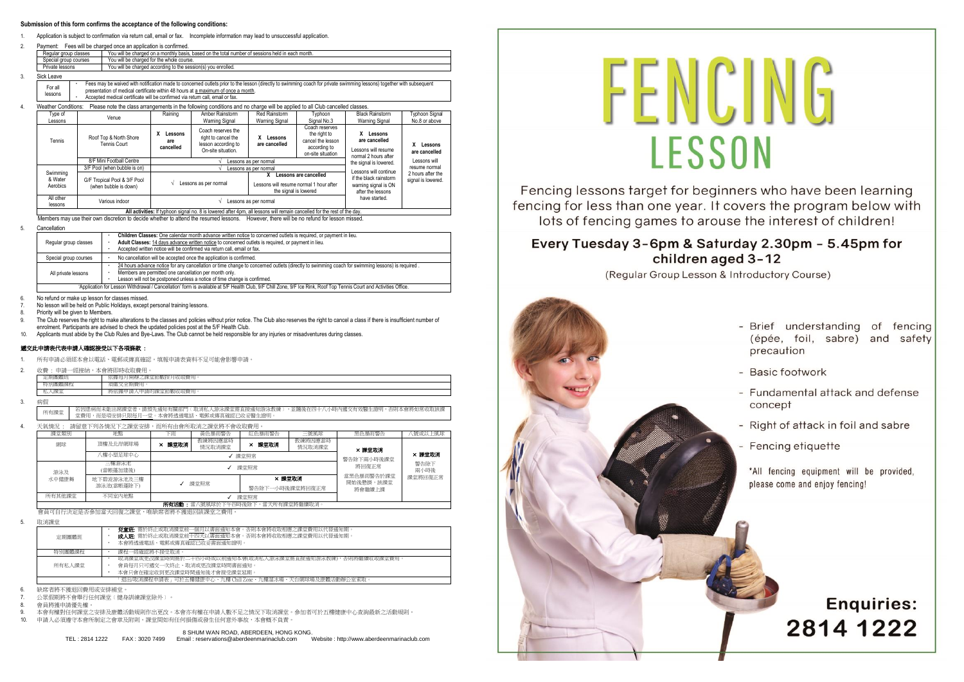#### **Submission of this form confirms the acceptance of the following conditions:**

- Application is subject to confirmation via return call, email or fax. Incomplete information may lead to unsuccessful application
- 2. Payment: Fees will be charged once an application is confirmed. Regular group classes You will be charged on a monthly basis, based on the total number of sessions held in the total number of sessions held in the total sessions of sessions held in the total number of sessions held in t You will be charged for the whole course You will be charged according to the ses 3. Sick Leave For all lessons Fees may be waived with notification made to concerned outlets prior to the lesson (directly to swimming coach for private swimming lessons) together with subsequent presentation of medical certificate within 48 hours at a maximum of once a month. Accepted medical certificate will be confirmed via return call, email or fax. 4. Weather Conditions: Please note the class arrangements in the following conditions and no charge will be applied to all Club cancelled classes Type of<br>Lessons Type of Nenue Network (Nenue Raining Amber Rainstorm Network)<br>Lessons Network (Nenue Network) Warning Signal Red Rainstorm Warning Signal **Typhoon** Signal No.3 Black Rainstorm **Warning Signa** Typhoon Signal No.8 or above Tennis Roof Top & North Shore Tennis Court **X Lessons are cancelled** Coach reserves the right to cancel the lesson according to On-site situation. **X Lessons are cancelled** Coach reserves the right to cancel the lesson according to on-site situation **X Lessons are cancelled** Lessons will resume normal 2 hours after the signal is lowered. Lessons will continue if the black rainstorm warning signal is ON after the lessons have started. **X Lessons are cancelled** Lessons will resume normal 2 hours after the signal is lowered. 8/F Mini Football Centre √ Lessons as per normal Swimming & Water Aerobics 3/F Pool (when bubble is on) √ Lessons as per normal G/F Tropical Pool & 3/F Pool (when bubble is down) <sup>√</sup>Lessons as per normal **X Lessons are cancelled**  Lessons will resume normal 1 hour after the signal is lowered All other lessons Various indoor <sup>√</sup>Lessons as per normal

**All activities:** If typhoon signal no. 8 is lowered after 4pm, all lessons will remain cancelled for the rest of the day. Members may use their own discretion to decide whether to attend the resumed lessons. However, there will be no refund for less

#### 5. Cancellation

| Regular group classes | Children Classes: One calendar month advance written notice to concerned outlets is required, or payment in lieu.<br>Adult Classes: 14 days advance written notice to concerned outlets is required, or payment in lieu.<br>Accepted written notice will be confirmed via return call, email or fax. |
|-----------------------|------------------------------------------------------------------------------------------------------------------------------------------------------------------------------------------------------------------------------------------------------------------------------------------------------|
| Special group courses | No cancellation will be accepted once the application is confirmed.                                                                                                                                                                                                                                  |
| All private lessons   | 24 hours advance notice for any cancellation or time change to concerned outlets (directly to swimming coach for swimming lessons) is required.<br>Members are permitted one cancellation per month only.<br>Lesson will not be postponed unless a notice of time change is confirmed.               |
|                       | 'Application for Lesson Withdrawal / Cancellation' form is available at 5/F Health Club, 9/F Chill Zone, 9/F Ice Rink, Roof Top Tennis Court and Activities Office.                                                                                                                                  |

6. No refund or make up lesson for classes missed.

- 7. No lesson will be held on Public Holidays, except personal training lessons.
- Priority will be given to Members.
- The Club reserves the right to make alterations to the classes and policies without prior notice. The Club also reserves the right to cancel a class if there is insufficient number of enrolment. Participants are advised to check the updated policies post at the 5/F Health Club.
- Applicants must abide by the Club Rules and Bye-Laws. The Club cannot be held responsible for any injuries or misadventures during classes

#### 遞交此申請表代表申請人確認接受以下各項條款 :

- 1. 所有申請必須經本會以電話、電郵或傳真確認。填報申請表資料不足可能會影響申請。
- 2. 收費 : 申請一經接納,本會將即時收取費用。

| (HG D)<br>۰               | 引收取費)<br>月開辦之記<br>- 全田.<br>. 玉節數按尸<br>"腾母,<br>依服<br>7H.<br><b>GR</b>          |
|---------------------------|-------------------------------------------------------------------------------|
| vx.                       | c                                                                             |
| 59 J<br>دے ا              | 收取費<br>100<br>ל.<br>草節<br><b>MALL</b><br>下腰甲語。<br>:課<br>甲請的<br><b>JEV LIV</b> |
| <b>Colorado Principal</b> |                                                                               |

3. 病假

所有課堂 若因患病而未能出席課堂者,請預先通知有關部門﹝取消私人游泳課堂需直接通知游泳教練﹞,並隨後在四十八小時內遞交有效醫生證明,否則本會將如常收取該課 堂費用,而是項安排只限每月一堂。本會將透過電話、電郵或傳真確認已收妥醫生證明。

4. 天氣情況 : 請留意下列各情況下之課堂安排,而所有由會所取消之課堂將不會收取費用。

| 課堂類別                                | 提罪                       | 下雨   | 黃色暴雨警告            | 紅色暴雨警告                    | 我風號三              | 黑色暴雨警告                            | (號或以上風球) |  |  |
|-------------------------------------|--------------------------|------|-------------------|---------------------------|-------------------|-----------------------------------|----------|--|--|
| 網球                                  | 頂樓及北岸網球場                 | 課堂取消 | 教練將因應當時<br>情況取消課堂 | × 課堂取消                    | 教練將因應當時<br>情況取消課堂 | × 課堂取消                            |          |  |  |
| 八樓小型足球中心<br>√ 課堂照常                  |                          |      |                   |                           |                   | 警告除下兩小時後課堂                        | × 課堂取消   |  |  |
| 游泳及                                 | 三樓游泳池<br>(當帳蓬加建後)        |      | 課堂照常              | 將回復正常                     | 警告除下<br>兩小時後      |                                   |          |  |  |
| 水中健康舞                               | 地下碧波游泳池及三樓<br>游泳池(當帳蓬除下) |      | 課堂照常              | × 課堂取消<br>警告除下一小時後課堂將回復正常 |                   | 常黑色暴雨警告於課堂<br>開始後懸掛,該課堂<br>將會繼續上課 | 課堂將回復正常  |  |  |
| 所有其他課堂                              | 不同室内地點                   |      | 課堂照常              |                           |                   |                                   |          |  |  |
| 所有活動 當八號風球於下午四時後除下,當天所有課堂將繼續取消。     |                          |      |                   |                           |                   |                                   |          |  |  |
| 會員可自行決定是否參加當天回復之課堂,唯缺席者將不獲退回該課堂之費用。 |                          |      |                   |                           |                   |                                   |          |  |  |

| 定期團體班  | <b>閉童班:</b> 需於終止或取消課堂前一個月以書面通知本會。否則本會將收取相應之課堂費用以代替通知期 ·<br>成人班: 需於終止或取消課堂前十四天以書面通知本會。否則本會將收取相應之課堂費用以代替通知期。<br>本會將透過電話、電郵或傳真確認已收妥書面通知證明。 |
|--------|-----------------------------------------------------------------------------------------------------------------------------------------|
| 特別團體課程 | 課程一經確認將不接受取消。                                                                                                                           |
| 所有私人課堂 | 取消課堂或更改課堂時間需於二十四小時或以前通知本會(取消私人游泳課堂需直接通知游泳教練),否則將繼續收取課堂費用。<br>會員每月只可遞交一次終止、取消或更改課堂時間書面通知。<br>本會只會在確定收到更改課堂時間通知後才會接受課堂延期。                 |
|        | ·退出/取消課程申請表」可於五樓健康中心、九樓 Chill Zone、九樓溜冰場、天台網球場及康體活動辦公室索取                                                                                |

6. 缺席者將不獲退回費用或安排補堂。

7. 公眾假期將不會舉行任何課堂﹝健身訓練課堂除外﹞。

8. 會員將獲申請優先權。

9. 本會有權對任何課堂之安排及康體活動規則作出更改。本會亦有權在申請人數不足之情況下取消課堂。參加者可於五樓健康中心查詢最新之活動規則。

10. 申請人必須遵守本會所制定之會章及附則。課堂間如有任何損傷或發生任何意外事故,本會概不負責。

8 SHUM WAN ROAD, ABERDEEN, HONG KONG. TEL : 2814 1222 FAX : 3020 7499 Email : reservations@aberdeenmarinaclub.com Website : http://www.aberdeenmarinaclub.com



Fencing lessons target for beginners who have been learning fencing for less than one year. It covers the program below with lots of fencing games to arouse the interest of children!

### Every Tuesday 3-6pm & Saturday 2.30pm - 5.45pm for children aged 3-12

(Regular Group Lesson & Introductory Course)



- Brief understanding of fencing (épée, foil, sabre) and safety precaution
- Basic footwork
- Fundamental attack and defense concept
- Right of attack in foil and sabre
- Fencing etiquette

\*All fencing equipment will be provided, please come and enjoy fencing!

## **Enquiries:** 2814 1222